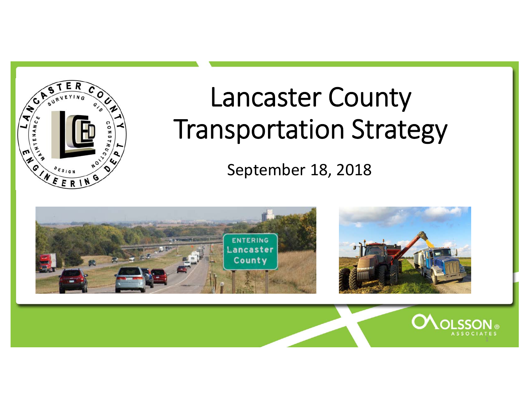

# Lancaster County Transportation Strategy

September 18, 2018

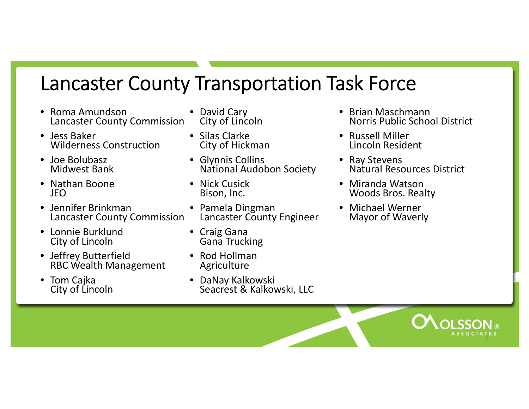#### Lancaster County Transportation Task Force

- $\bullet$ • Roma Amundson Lancaster County Commission
- Jess Baker Wilderness Construction
- • Joe Bolubasz Midwest Bank
- Nathan Boone JEO
- Jennifer BrinkmanLancaster County Commission
- Lonnie BurklundCity of Lincoln
- Jeffrey Butterfield RBC Wealth Management
- • Tom Cajka City of Lincoln
- David Cary City of Lincoln
- Silas ClarkeCity of Hickman
- Glynnis Collins NationalNational Audobon Society
- Nick Cusick Bison, Inc.
- Pamela Dingman Lancaster County Engineer
- Craig Gana Gana Trucking
- Rod Hollman Agriculture
- DaNay Kalkowski Seacrest & Kalkowski, LLC
- Brian Maschmann Norris Public School District
- Russell Miller Lincoln Resident
- Ray Stevens<br>Natural Res Resources District
- Miranda WatsonWoods Bros. Realty
- Michael Werner Mayor of Waverly

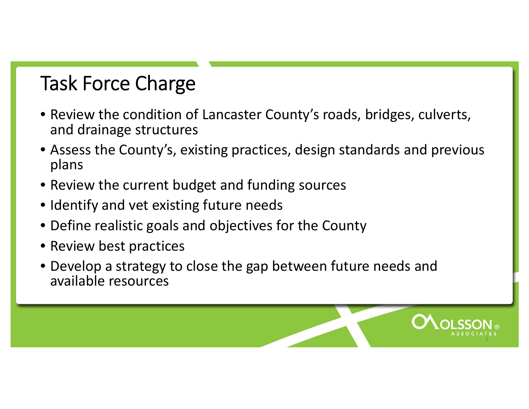### Task Force Charge

- Review the condition of Lancaster County's roads, bridges, culverts, and drainage structures
- Assess the County's, existing practices, design standards and previous plans
- Review the current budget and funding sources
- Identify and vet existing future needs
- Define realistic goals and objectives for the County
- Review best practices
- Develop <sup>a</sup> strategy to close the gap between future needs and available resources

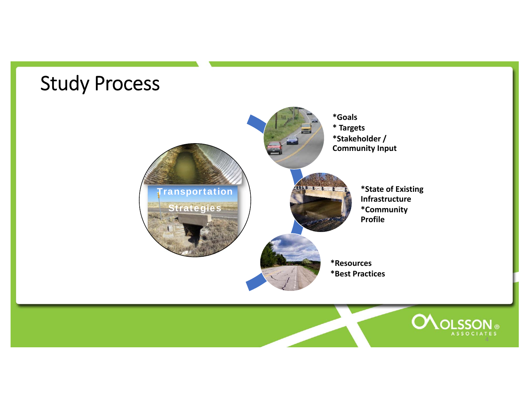#### Study Process **\*Goals \* Targets \*Stakeholder / Community Input REFERENCE Transportation \*State of Existing Infrastructure Strategies \*Community Profile\*Resources \*Best PracticesOLOLSSON®** ASSOCIATES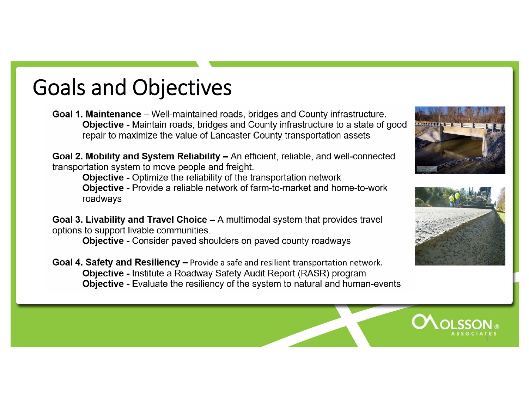# Goals and Objectives

**Goal 1. Maintenance** – Well-maintained roads, bridges and County infrastructure. **Objective - Maintain roads, bridges and County infrastructure to a state of good** repair to maximize the value of Lancaster County transportation assets

Goal 2. Mobility and System Reliability – An efficient, reliable, and well-connected transportation system to move people and freight.

Objective - Optimize the reliability of the transportation network **Objective - Provide a reliable network of farm-to-market and home-to-work** roadways

**Goal 3. Livability and Travel Choice – A multimodal system that provides travel** options to support livable communities.

**Objective - Consider paved shoulders on paved county roadways** 

**Goal 4. Safety and Resiliency – Provide a safe and resilient transportation network. Objective - Institute a Roadway Safety Audit Report (RASR) program Objective - Evaluate the resiliency of the system to natural and human-events** 





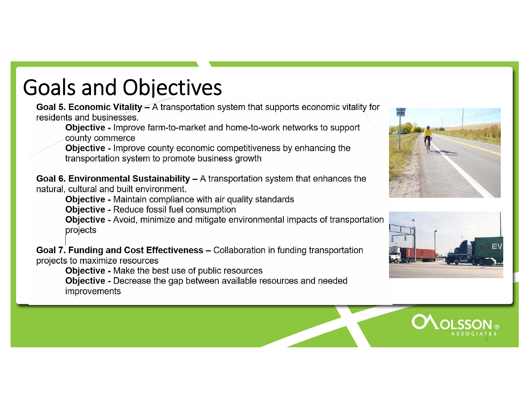# Goals and Objectives

Goal 5. Economic Vitality – A transportation system that supports economic vitality for residents and businesses.

Objective - Improve farm-to-market and home-to-work networks to support county commerce

**Objective - Improve county economic competitiveness by enhancing the** transportation system to promote business growth

Goal 6. Environmental Sustainability  $-$  A transportation system that enhances the natural, cultural and built environment.

**Objective - Maintain compliance with air quality standards** 

**Objective - Reduce fossil fuel consumption** 

Objective - Avoid, minimize and mitigate environmental impacts of transportation projects

Goal 7. Funding and Cost Effectiveness - Collaboration in funding transportation projects to maximize resources

**Objective - Make the best use of public resources** 

**Objective -** Decrease the gap between available resources and needed improvements





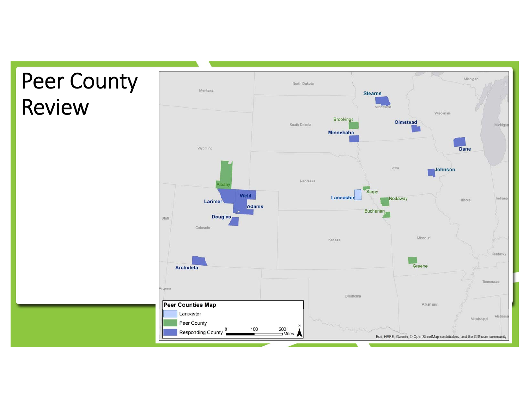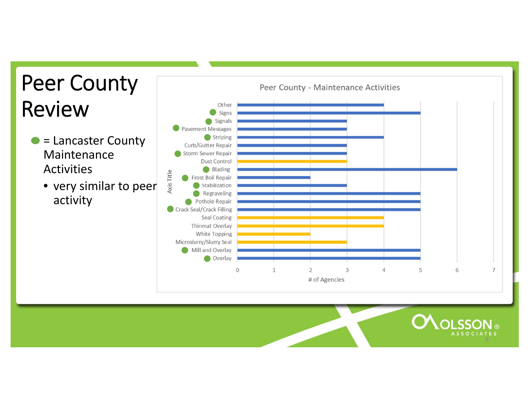# Peer County Review

- = Lancaster County Maintenance**Activities** 
	- very similar to peer activity



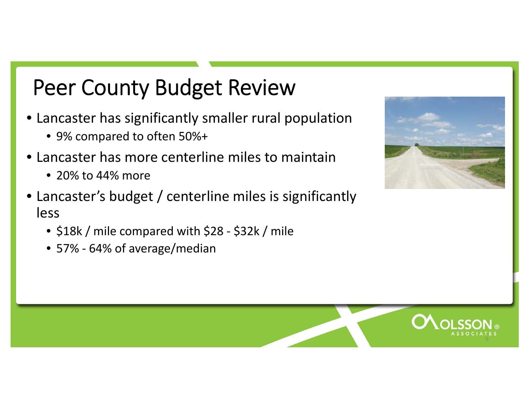## Peer County Budget Review

- • Lancaster has significantly smaller rural population
	- 9% compared to often 50%+
- • Lancaster has more centerline miles to maintain
	- 20% to 44% more
- Lancaster's budget / centerline miles is significantly less
	- \$18k / mile compared with \$28 ‐ \$32k / mile
	- 57% ‐ 64% of average/median



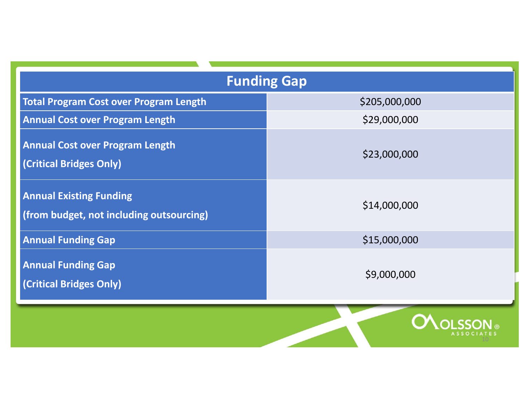| <b>Funding Gap</b>                                                         |                           |
|----------------------------------------------------------------------------|---------------------------|
| <b>Total Program Cost over Program Length</b>                              | \$205,000,000             |
| <b>Annual Cost over Program Length</b>                                     | \$29,000,000              |
| <b>Annual Cost over Program Length</b><br>(Critical Bridges Only)          | \$23,000,000              |
| <b>Annual Existing Funding</b><br>(from budget, not including outsourcing) | \$14,000,000              |
| <b>Annual Funding Gap</b>                                                  | \$15,000,000              |
| <b>Annual Funding Gap</b><br>(Critical Bridges Only)                       | \$9,000,000               |
|                                                                            | $A$ , $A$ $A$ , $A$ , $A$ |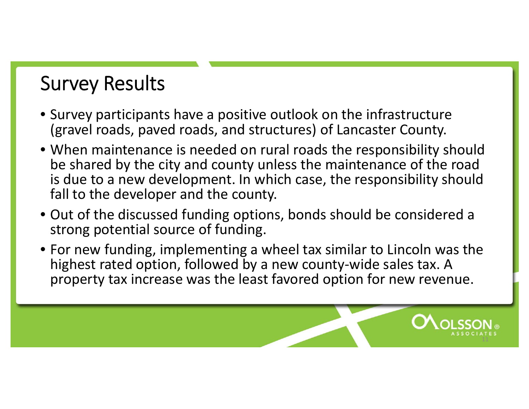## Survey Results

- Survey participants have <sup>a</sup> positive outlook on the infrastructure (gravel roads, paved roads, and structures) of Lancaster County.
- When maintenance is needed on rural roads the responsibility should be shared by the city and county unless the maintenance of the road is due to a new development. In which case, the responsibility should fall to the developer and the county.
- Out of the discussed funding options, bonds should be considered <sup>a</sup> strong potential source of funding.
- For new funding, implementing <sup>a</sup> wheel tax similar to Lincoln was the highest rated option, followed by <sup>a</sup> new county‐wide sales tax. A property tax increase was the least favored option for new revenue.

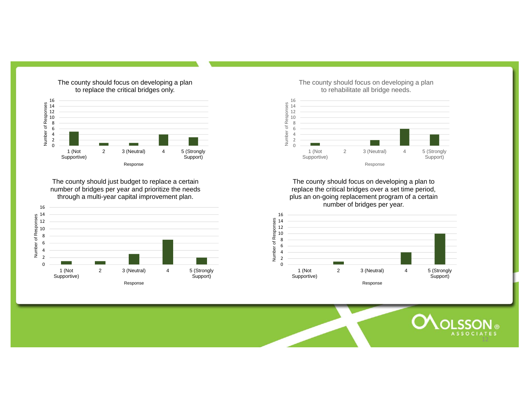

The county should focus on developing a plan

The county should just budget to replace a certain number of bridges per year and prioritize the needs through a multi-year capital improvement plan.



The county should focus on developing a plan to rehabilitate all bridge needs.



The county should focus on developing a plan to replace the critical bridges over a set time period, plus an on-going replacement program of a certain number of bridges per year.



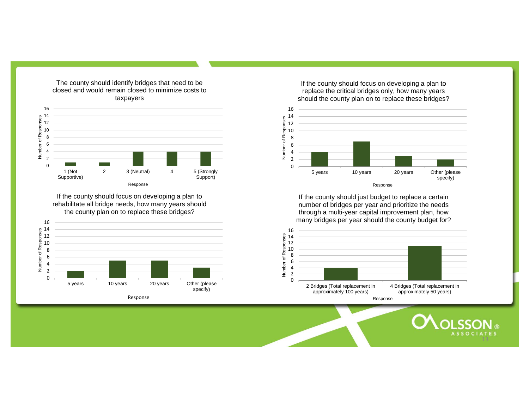

The county should identify bridges that need to be closed and would remain closed to minimize costs to

If the county should focus on developing a plan to rehabilitate all bridge needs, how many years should the county plan on to replace these bridges?



If the county should focus on developing a plan to replace the critical bridges only, how many years should the county plan on to replace these bridges?



If the county should just budget to replace a certain number of bridges per year and prioritize the needs through a multi-year capital improvement plan, how many bridges per year should the county budget for?



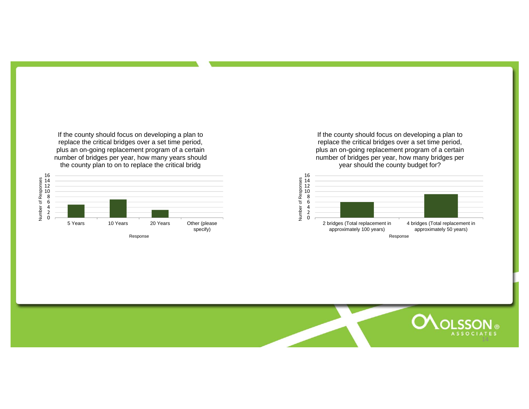If the county should focus on developing a plan to replace the critical bridges over a set time period, plus an on-going replacement program of a certain number of bridges per year, how many years should the county plan to on to replace the critical bridg



Response

If the county should focus on developing a plan to replace the critical bridges over a set time period, plus an on-going replacement program of a certain number of bridges per year, how many bridges per year should the county budget for?



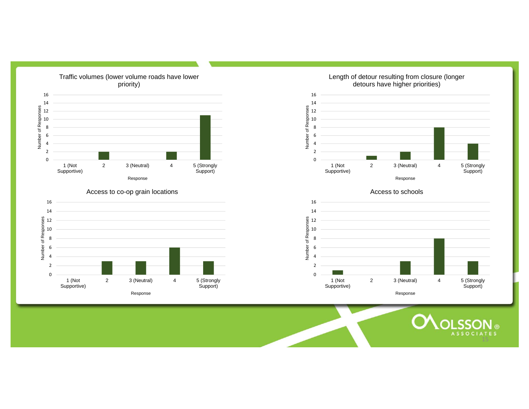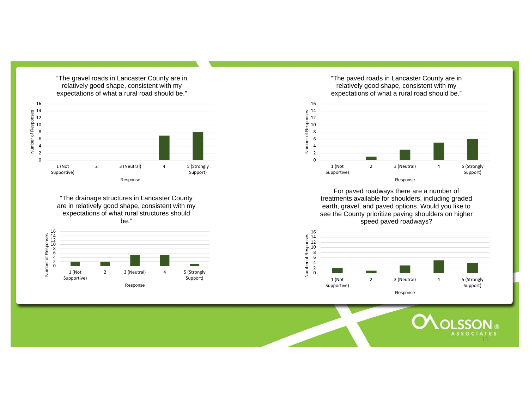

"The drainage structures in Lancaster County are in relatively good shape, consistent with my expectations of what rural structures should be."



"The paved roads in Lancaster County are in relatively good shape, consistent with my expectations of what a rural road should be."



For paved roadways there are a number of treatments available for shoulders, including graded earth, gravel, and paved options. Would you like to see the County prioritize paving shoulders on higher speed paved roadways?



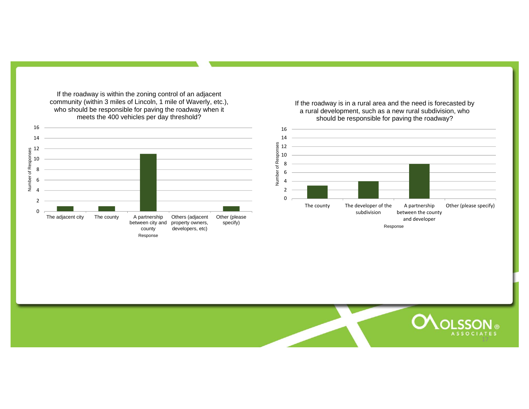If the roadway is within the zoning control of an adjacent community (within 3 miles of Lincoln, 1 mile of Waverly, etc.), who should be responsible for paving the roadway when it meets the 400 vehicles per day threshold?



If the roadway is in a rural area and the need is forecasted by a rural development, such as a new rural subdivision, who should be responsible for paving the roadway?



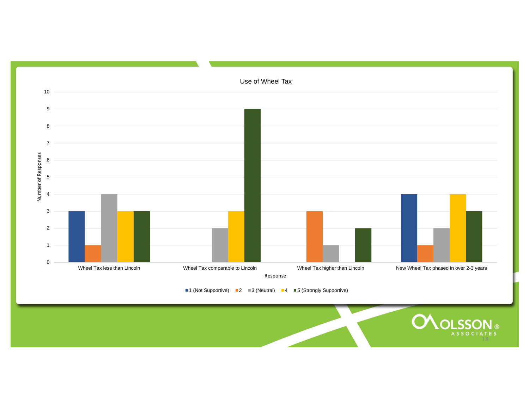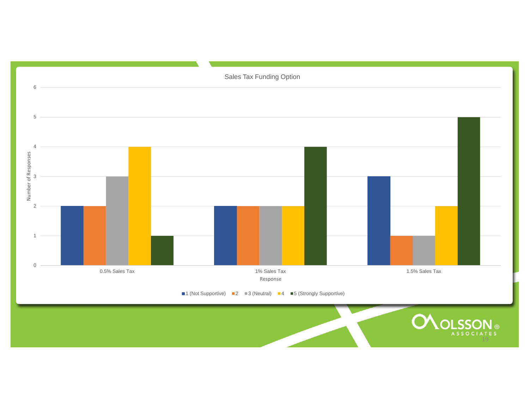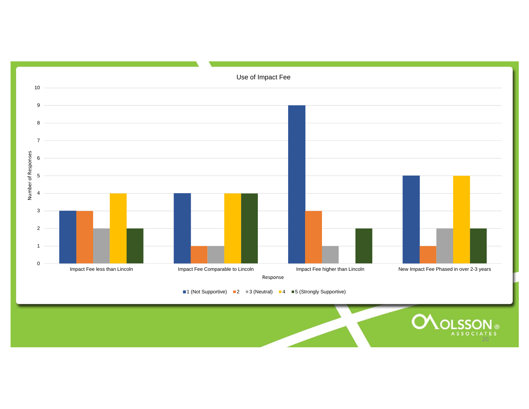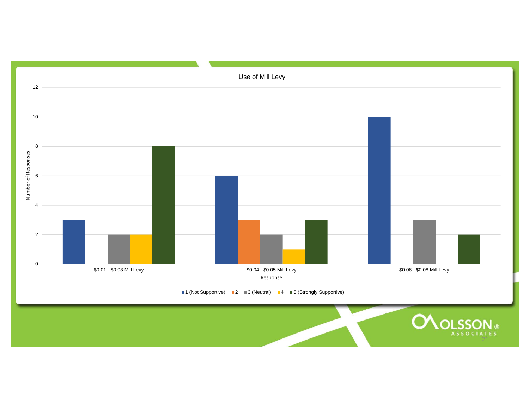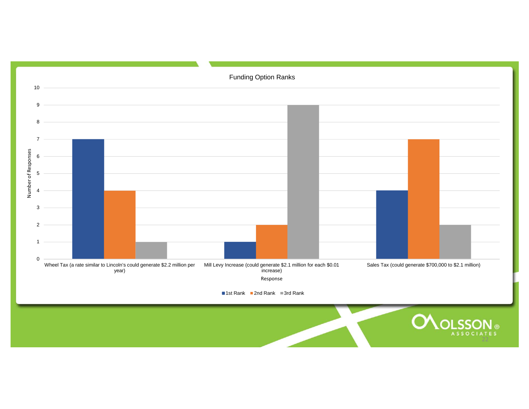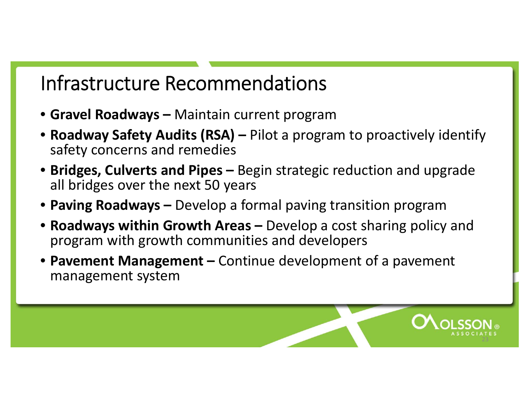### Infrastructure Recommendations

- **Gravel Roadways –** Maintain current program
- **Roadway Safety Audits (RSA) –** Pilot <sup>a</sup> program to proactively identify safety concerns and remedies
- **Bridges, Culverts and Pipes –** Begin strategic reduction and upgrade all bridges over the next 50 years
- **Paving Roadways –** Develop <sup>a</sup> formal paving transition program
- **Roadways within Growth Areas –** Develop <sup>a</sup> cost sharing policy and program with growth communities and developers
- **Pavement Management –** Continue development of <sup>a</sup> pavement management system

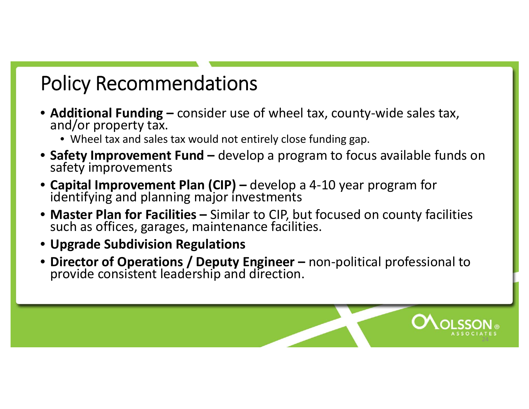## Policy Recommendations

- **Additional Funding –** consider use of wheel tax, county ‐wide sales tax, and/or property tax.
	- Wheel tax and sales tax would not entirely close funding gap.
- •**Safety Improvement Fund –** develop a program to focus available funds on safety improvements
- **Capital Improvement Plan (CIP) –** develop a 4 ‐10 year program for identifying and planning major investments
- Master Plan for Facilities Similar to CIP, but focused on county facilities<br>such as offices, garages, maintenance facilities. such as offices, garages, maintenance facilities.
- **Upgrade Subdivision Regulations**
- **Director of Operations / Deputy Engineer –** non **Director of Operations / Deputy Engineer –** non-political professional to<br>provide consistent leadership and direction.

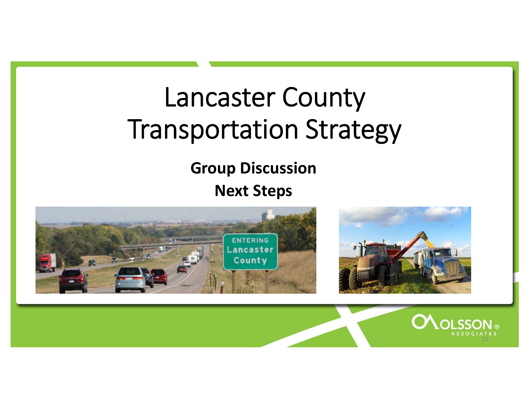# Lancaster County Transportation Strategy

#### **Group Discussion Next Steps**